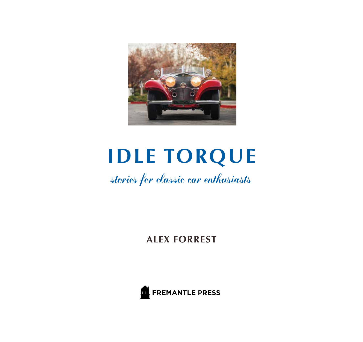

# **IDLE TORQUE**

stories for classic car enthusiasts

**ALEX FORREST**

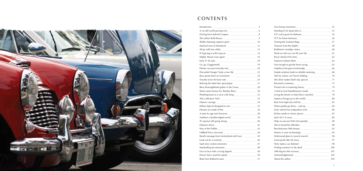

## **CONTENTS**

#### Introduction

|                                                                                                                       | $\overline{A}$ |
|-----------------------------------------------------------------------------------------------------------------------|----------------|
|                                                                                                                       | 6              |
|                                                                                                                       |                |
| The yellow Rolls-Royce                                                                                                | 9              |
|                                                                                                                       |                |
| Maserati man of Mandurah                                                                                              | 12             |
|                                                                                                                       | 13             |
|                                                                                                                       | 14             |
| Mighty Mouse roars again 16                                                                                           |                |
| Early F1 fix lasts                                                                                                    | 18             |
|                                                                                                                       | 19             |
|                                                                                                                       |                |
|                                                                                                                       |                |
| Race greats back at Caversham                                                                                         | 24             |
| Travolta lyrics hit bum note                                                                                          |                |
|                                                                                                                       |                |
|                                                                                                                       |                |
|                                                                                                                       |                |
| Plaything back as a racer with sting 32                                                                               |                |
|                                                                                                                       | 33             |
| Historic carriage <b>Manual According to the Contract of According Contract and According to the Contract of Text</b> | 34             |
| Killeen Special designed to win                                                                                       | 35             |
|                                                                                                                       | 36             |
|                                                                                                                       | 38             |
| Tradition a double-edged sword                                                                                        | 39             |
|                                                                                                                       | 40             |
| Distance driver                                                                                                       | 42             |
|                                                                                                                       | 43             |
| Oddball Fiat a rare treat                                                                                             | 44             |
| Bond's message from Switzerland with love                                                                             | 45             |
| Look out for a Leyland                                                                                                | 46             |
| Saab story evokes memories                                                                                            | 47             |
| Marshalling his memories                                                                                              | 48             |
|                                                                                                                       | 49             |
| Dwyer had a need for speed                                                                                            | 50             |
| Blast from Bathurst's past                                                                                            | 51             |

|                                                                                                                                                                                                                                      | 52  |
|--------------------------------------------------------------------------------------------------------------------------------------------------------------------------------------------------------------------------------------|-----|
|                                                                                                                                                                                                                                      | 53  |
| GT's extra grunt for Bathurst                                                                                                                                                                                                        | 54  |
| TCT for home harmony                                                                                                                                                                                                                 | 56  |
| Turning the Graham-Paige 1997                                                                                                                                                                                                        |     |
| Treasure from the depths                                                                                                                                                                                                             | 58  |
| Brabham's nostalgic return                                                                                                                                                                                                           | 60  |
|                                                                                                                                                                                                                                      | 61  |
|                                                                                                                                                                                                                                      | 62  |
| Veteran's Valiant effort                                                                                                                                                                                                             | 64  |
| Fast enough to get the heart racing <b>Exercise Contract Contract Contract Contract Contract Contract Contract Contract Contract Contract Contract Contract Contract Contract Contract Contract Contract Contract Contract Contr</b> | 65  |
|                                                                                                                                                                                                                                      | 66  |
|                                                                                                                                                                                                                                      |     |
|                                                                                                                                                                                                                                      | 70  |
|                                                                                                                                                                                                                                      |     |
|                                                                                                                                                                                                                                      | -72 |
|                                                                                                                                                                                                                                      |     |
|                                                                                                                                                                                                                                      |     |
|                                                                                                                                                                                                                                      |     |
|                                                                                                                                                                                                                                      |     |
|                                                                                                                                                                                                                                      | 83  |
|                                                                                                                                                                                                                                      | 84  |
|                                                                                                                                                                                                                                      |     |
| Riches reside in classic places                                                                                                                                                                                                      | 87  |
| Jane's \$11 m racer                                                                                                                                                                                                                  | 89  |
|                                                                                                                                                                                                                                      | 90  |
| We've found the offenders                                                                                                                                                                                                            | 90  |
|                                                                                                                                                                                                                                      | 92  |
|                                                                                                                                                                                                                                      | 94  |
|                                                                                                                                                                                                                                      | 96  |
| Giant profit after 60 years                                                                                                                                                                                                          | 97  |
|                                                                                                                                                                                                                                      | 98  |
|                                                                                                                                                                                                                                      |     |
|                                                                                                                                                                                                                                      | 101 |
|                                                                                                                                                                                                                                      |     |
| About the author                                                                                                                                                                                                                     | 104 |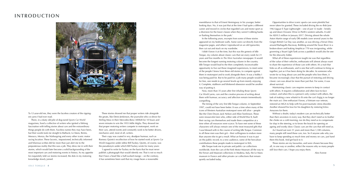#### **INTRODUCTION**



To 12-year-old me, they were the faceless creators of the rippingest yarns I had ever read.

There, in a dusty old pile of dog-eared *Sports Car World* magazines, lived a collective of writers who ignited a lifelong fascination with telling stories about cars and the extraordinary things people do with them. Faceless names they may have been, but their words took me straight to Bathurst, Le Mans, Reims, Monaco, Monza, the Nürburgring and every other iconic motor racing location. These laconic, impassioned, technically informed and hilarious scribes did far more than just alert me to the preposterous reality that this was a job. They drew me in with their stories, which would later become a solid backgrounding of the most important cars and motoring events in history. As my appetite for exquisitely told car stories increased, the dots in my motoring knowledge slowly joined.

These stories showed me that proper writers ride alongside the greats, like Denis Jenkinson, the journalist who co-drove for Stirling Moss in their Mercedes-Benz 300SLR for 10 hours and seven minutes to win the 1955 Mille Miglia. They showed me that proper motoring writers compete in motorsport, work on their cars, attend events and constantly work to be better drivers, mechanics and, most of all, writers.

Their copy was coated in wry, deadpan humour, such as Romsey Quints's recollection of how he started work at *Sports Car World* magazine under editor Bill Tuckey. Quints, of course, was the pseudonym under which Bill Tuckey wrote for many years:

'I agreed to write for Tuckey on the basis that he must never publish a photograph that would identify me. That is not so much that I have a head like a half-sucked mango – on the contrary, it has sometimes been said that my visage bears a reasonable

resemblance to that of Ernest Hemingway in his younger, better looking days. No, it was just that at the time I had quite a different career and moved in circles that regarded cars and motor sport as a diversion for the lower classes when they weren't robbing banks or flashing themselves in the park.'

In the following years, excerpts from some of these stories appeared on my bedroom walls. Some were cut directly from the magazine pages, and others I reproduced on an old typewriter, then cut out and stuck on my wardrobe.

I didn't know it at the time, but this was the genesis of Idle Torque, my column about classic cars that ran every week for 21 years and five months in *The West Australian* newspaper. It would become the longest running motoring column in the country. Idle Torque would lead to the then completely inconceivable opportunity to live out those imagined experiences, to meet some of the people I knew from these old stories, to compete against them in motorsport and to work alongside them. It was a hobby I was being paid for. But to be paid for a job many people would do for free, one needs to go several levels up from merely enjoying it. Complete, stubborn and blinkered obsession would be another way of putting it.

Now, more than 35 years after first inhaling those *Sports Car World* yarns, cars and the creative process of writing about them with humour, accuracy and affection remain tremendously compelling.

The timing of the very first Idle Torque column, in September 1997, could not have been better. It was a time when many of the icons of Western Australian motorsport were still alive – people like the Clem Dwyer, Jack Nelson and Allan Tomlinson. These were resourceful men who, either side of World War II, built their racing cars themselves and made them competitive at a time when all resources were scarce. To have met some of these characters will always remain one of the most treasured gifts that I was blessed with in the course of writing Idle Torque. Common to all these men was their grit – their willingness to endure more than anyone else to get a result. What an honour it was to put on the public record, to a new audience, some of the herculean contributions these people made to motorsport in WA.

Idle Torque took me to private and public car collections worldwide, from the cars of the York Motor Museum all the way to the Ferrari and Maserati collections in Modena, Italy, the Le Mans museum in France and other private car collections that remain quietly secluded today.

Opportunities to drive iconic sports cars were plentiful but never taken for granted. These included driving the ex–Bob Jane 1963 Jaguar E-Type Lightweight – one of just 12 made – briskly up and down Oceanic Drive in Perth's western suburbs. It sold for A\$10.5 million in January 2017. Driving almost the whole Aston Martin range of early DB models (over several years) to the Gingin British Car Day was another, as was driving a Ferrari Dino around Barbagallo Raceway. Bobbing around the Swan River in a broken-down and leaking Amphicar 770 was invigorating, while governing a Stuart Light Tank across a paddock would also be one for the obscurity folder.

What all of these experiences taught me was that regardless of the value of their vehicles, enthusiasts will almost always want to share the experience of those cars with others. It's a trait that links us all as enthusiasts, and is one that will continue to bring us together, just as it has been doing for decades. As someone who wrote for so long about cars and the people who love them, it became increasingly clear that the pursuit of restoring and driving classic cars was about far more than just that. For some, it was about survival.

Maintaining classic cars requires owners to keep in contact with others. It requires collaboration and often face-to-face contact, and when this is a person's only contact with others, the task of making a new whatsit to fit onto the car's fizgig is no longer the main act. One enthusiast I know, a Vietnam war veteran, restored an MGA to help with his post-traumatic stress disorder. Another showed his love for his daughters by restoring Volvo Amazons for them.

Without a doubt, today's modern cars are technically better than their ancestors in every way. But they don't need us to feather the choke on a cold morning, nor do they need us to compensate for slop in the steering, or to know the knack for opening an ageing and wonky door. Classic cars are the cars that still need us.

As I found out over 21 years and more than 1,100 columns, many people still need these cars, too. So if anyone asks why you have to keep spending so much time and money on cars, just hand them this book. And get back to it.

These stories are my favourites, and were chosen because they all, in one way or another, reflect the reasons why so many people still love their cars. I hope you enjoy them.

Alex Forrest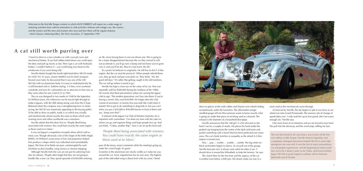down to glance at the wide rubber and Dayton wire wheels hiding surreptitiously under the haunches. The aftermarket orangeneedled gauges tell me that someone wants to know exactly what is going on under that piece of art being used as a bonnet. The exhaust is the diameter of a household downpipe.

Neville announces that the 'old girl' is a bit reluctant as she hasn't run for a couple of weeks. He places his hand under the peaked cap hanging from the centre of the dash and twists and pushes something with a knack that has been perfected over many years. The car's body twitches in sympathy as the rebuilt 4.2-litre

engine is turned over.

One more burst of acceleration and we are forced to turn back. We pull into the driveway, and the wind stops ruffling my hair.

Hiss … pop … warble … warble … warble. The big white-on-The clutch bites for the first time and the urgency of the car

black tachometer begins to dance. As we pull out of the garage, Neville forecasts rain. It always rains when he takes it out. 'I should drive it around the Wheatbelt, to help the farmers,' he says. is evident even below 2,000 rpm. We slowly make our way to a



main road as the mechanicals warm through.

As forecast by Neville, the sky begins to spit in our faces as we wheel out onto Grand Promenade. The massive rate of change of speed takes over. 'I only took her up to four grand, she's not warm enough yet,' Neville says.

'I learnt to drive in a two-cylinder car with cross-ply tyres and mechanical brakes. If you had rubber-soled shoes you could open the door and pull up nearly as fast. Then I got a car with hydraulic brakes. I couldn't believe it – you could bang your head on the windscreen if you were being silly.'

Neville Martin bought the fourth right-hand-drive XK120 made for £450. For 25 years, chassis 660004 was his daily transport. Several years later, he discovered that it was one of the 240 XK120s with an aluminium body. It is easy to understand why he is still besotted with it. Sublime styling, 3.4 litres, twin overhead camshafts and twin SU carburettors are as attractive to him now as they were when he was a lad of 22 in 1961.

The car was designed in two weeks in 1948 by the legendary Sir William Lyons. His influences can be traced right through to today's Jaguars, with the XK8 taking strong cues from the E-Type. Released when the company was a strengthening force in motor racing, the XK120 was immensely appealing to the buying public. To be able to drive on public roads a car which was visually and mechanically almost exactly the same as those which were winning races and rallies worldwide was a sensation.

Neville admits that this drew him in: 'People liked being associated with winners. You could have exactly the same engine as those used at Le Mans.'

It was not Jaguar's competition triumphs alone which sold so many cars. Though obviously a fan of the shape of the Mille Miglia BMWs, Sir William's acute sense of line and proportion helped him produce a shape which was individual and unmistakably Jaguar. The lines of its flanks are pure, uninterrupted by such frivolities as door handles, wing mirrors or chrome stripping.

Although Neville feels the cars are not just for admiring from afar, he advises, 'People often forget that they are not going to handle like a new car. They spend upwards of \$100,000 restoring

an XK, never having been in one nor driven one. This is going to be a major disappointment because the car they arrived in will out-accelerate it, you'll go over a bump and not know you've gone over it, and you'll be dry. They're a fast truck, the XK.'

To a point, he believes in originality. He still has its first 3.4-litre engine. But the car must be practical: 'When people rebuild these cars, they go back and put cross-plies on. They think, ''Ah, the good old days.'' It's rather like getting caught in the old tramlines. The car will go where it wants to go.'

Neville has kept a close eye on the value of his car. One was reputedly sold for \$380,000 during the madness of the 1980s. He worries that these preventative values are causing the Jaguar club to age. 'The modern generation can't buy into them. If you're buying a wreck, they want \$20,000. No longer does the club consist of seventeen- to twenty-five-year-olds like it did when it started. We've got to do something to drag kids in, but you can't when you put a \$20,000 to \$50,000 barrier in front of them and say, ''Jump over that!'''

A stalwart of the Jaguar Car Club of Western Australia, he is impatient with committees. 'I've done my term with the yoke on where you go and organise things and hope people turn up. And you think, ''Crikey, another flop.'' Now I can sit up the front and

pass all the funny, smart comments while the meeting's going on, make the crowd laugh. It's great.'

Scratches in the aluminium are clearly visible as I make my way around the car. Every imperfection has its own story. The highest part of the slab-sided wing is about level with my waist. I bend



The one that started it all, and what a way to kick off the first ever edition of Idle Torque. Neville Martin's legendary and completely unhinged aluminium-bodied XK120 in some light springtime rain was wild. It was the first of many extraordinary car and people experiences, and the beginning of what would turn out to be a dream career so far. Today, aluminium-bodied Jaguar XK120s in good original condition sell for between \$600,000 and \$750,000.

Welcome to the first Idle Torque column in which ALEX FORREST will report on a wide range of motoring activities from vehicle restoration to club activities. Veteran and vintage cars, the classics and the exotics and the men and women who own and love them will be regular features. – Mick Glasson, Motoring Editor, *The West Australian*, 27 September 1997

> *'People liked being associated with winners. You could have exactly the same engine as those used at Le Mans.'*

### **A cat still worth purring over**